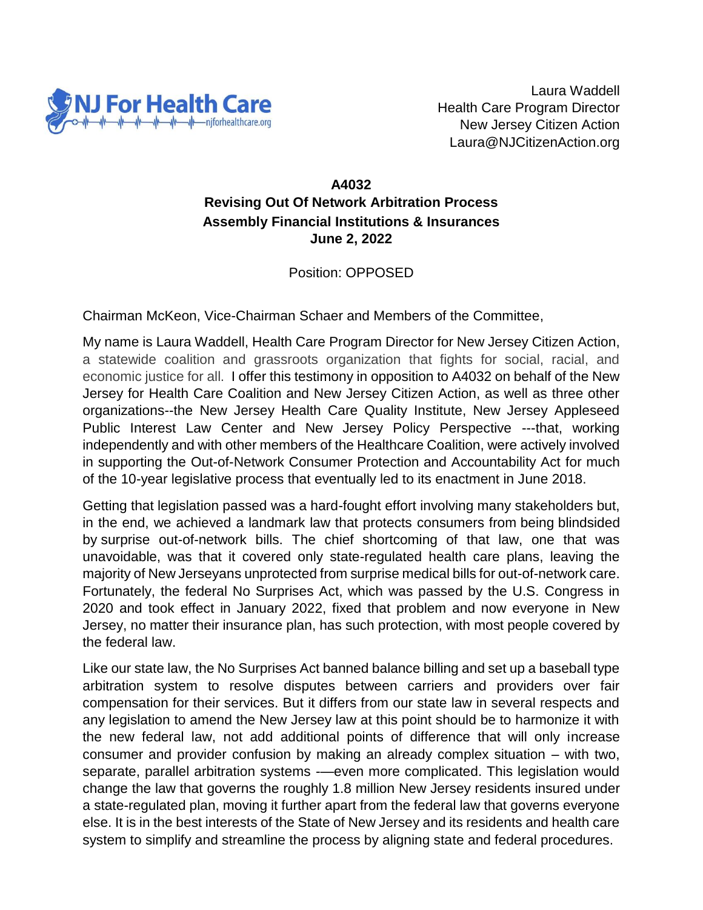

Laura Waddell Health Care Program Director New Jersey Citizen Action Laura@NJCitizenAction.org

## **A4032 Revising Out Of Network Arbitration Process Assembly Financial Institutions & Insurances June 2, 2022**

Position: OPPOSED

Chairman McKeon, Vice-Chairman Schaer and Members of the Committee,

My name is Laura Waddell, Health Care Program Director for New Jersey Citizen Action, a statewide coalition and grassroots organization that fights for social, racial, and economic justice for all. I offer this testimony in opposition to A4032 on behalf of the New Jersey for Health Care Coalition and New Jersey Citizen Action, as well as three other organizations--the New Jersey Health Care Quality Institute, New Jersey Appleseed Public Interest Law Center and New Jersey Policy Perspective ---that, working independently and with other members of the Healthcare Coalition, were actively involved in supporting the Out-of-Network Consumer Protection and Accountability Act for much of the 10-year legislative process that eventually led to its enactment in June 2018.

Getting that legislation passed was a hard-fought effort involving many stakeholders but, in the end, we achieved a landmark law that protects consumers from being blindsided by surprise out-of-network bills. The chief shortcoming of that law, one that was unavoidable, was that it covered only state-regulated health care plans, leaving the majority of New Jerseyans unprotected from surprise medical bills for out-of-network care. Fortunately, the federal No Surprises Act, which was passed by the U.S. Congress in 2020 and took effect in January 2022, fixed that problem and now everyone in New Jersey, no matter their insurance plan, has such protection, with most people covered by the federal law.

Like our state law, the No Surprises Act banned balance billing and set up a baseball type arbitration system to resolve disputes between carriers and providers over fair compensation for their services. But it differs from our state law in several respects and any legislation to amend the New Jersey law at this point should be to harmonize it with the new federal law, not add additional points of difference that will only increase consumer and provider confusion by making an already complex situation – with two, separate, parallel arbitration systems -—even more complicated. This legislation would change the law that governs the roughly 1.8 million New Jersey residents insured under a state-regulated plan, moving it further apart from the federal law that governs everyone else. It is in the best interests of the State of New Jersey and its residents and health care system to simplify and streamline the process by aligning state and federal procedures.